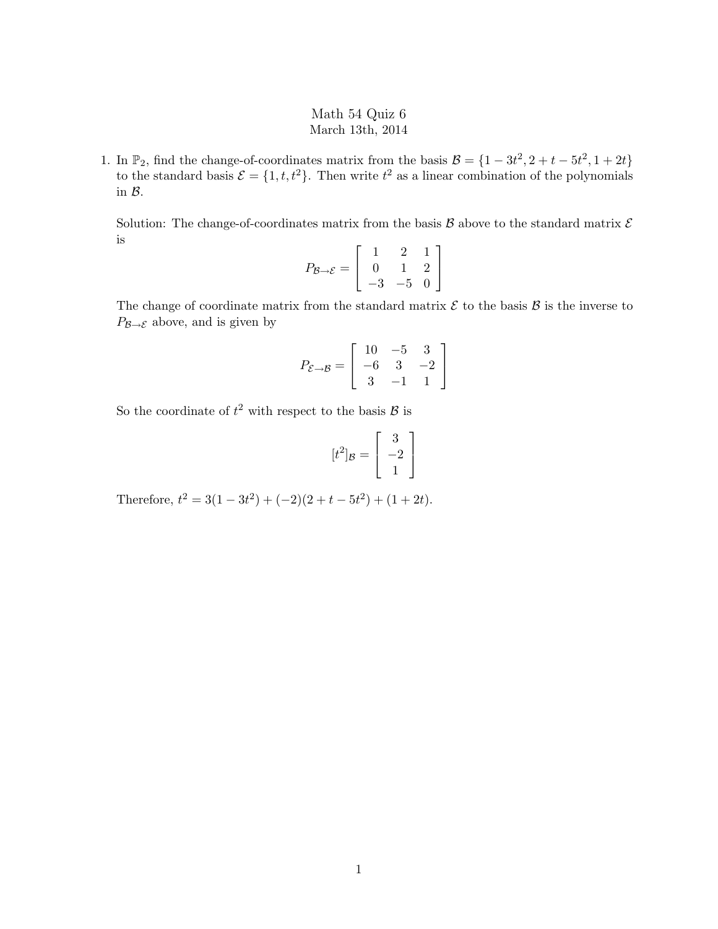## Math 54 Quiz 6 March 13th, 2014

1. In  $\mathbb{P}_2$ , find the change-of-coordinates matrix from the basis  $\mathcal{B} = \{1 - 3t^2, 2 + t - 5t^2, 1 + 2t\}$ to the standard basis  $\mathcal{E} = \{1, t, t^2\}$ . Then write  $t^2$  as a linear combination of the polynomials in B.

Solution: The change-of-coordinates matrix from the basis  $\mathcal B$  above to the standard matrix  $\mathcal E$ is

$$
P_{\mathcal{B}\to\mathcal{E}} = \left[ \begin{array}{rrr} 1 & 2 & 1 \\ 0 & 1 & 2 \\ -3 & -5 & 0 \end{array} \right]
$$

The change of coordinate matrix from the standard matrix  $\mathcal E$  to the basis  $\mathcal B$  is the inverse to  $P_{\mathcal{B}\rightarrow\mathcal{E}}$  above, and is given by

$$
P_{\mathcal{E}\to\mathcal{B}} = \left[ \begin{array}{rrr} 10 & -5 & 3 \\ -6 & 3 & -2 \\ 3 & -1 & 1 \end{array} \right]
$$

So the coordinate of  $t^2$  with respect to the basis  $\mathcal{B}$  is

$$
[t^2]_{\mathcal{B}} = \begin{bmatrix} 3 \\ -2 \\ 1 \end{bmatrix}
$$

Therefore,  $t^2 = 3(1 - 3t^2) + (-2)(2 + t - 5t^2) + (1 + 2t)$ .